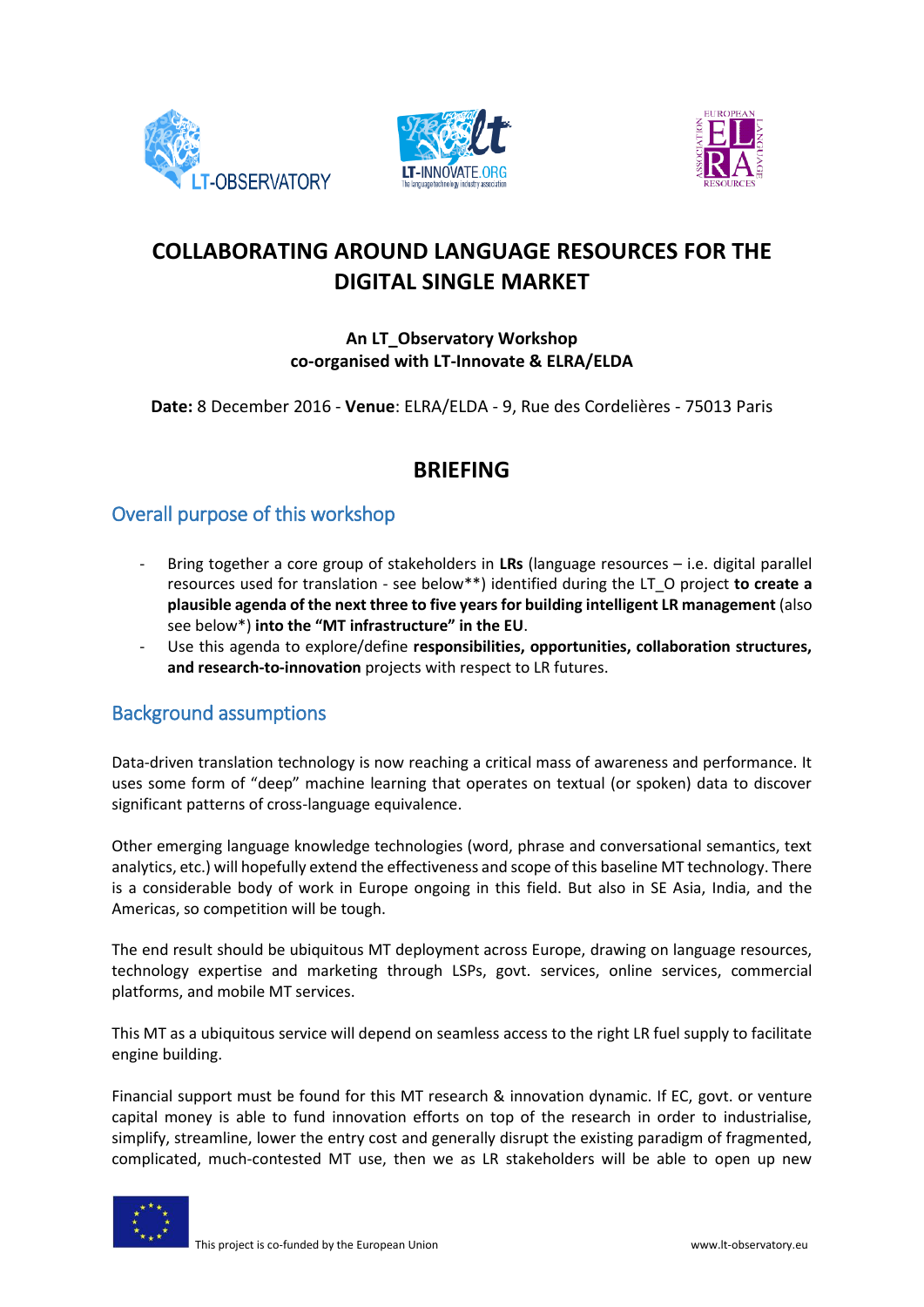





# **COLLABORATING AROUND LANGUAGE RESOURCES FOR THE DIGITAL SINGLE MARKET**

#### **An LT\_Observatory Workshop co-organised with LT-Innovate & ELRA/ELDA**

**Date:** 8 December 2016 - **Venue**: ELRA/ELDA - 9, Rue des Cordelières - 75013 Paris

## **BRIEFING**

### Overall purpose of this workshop

- Bring together a core group of stakeholders in **LRs** (language resources i.e. digital parallel resources used for translation - see below\*\*) identified during the LT\_O project **to create a plausible agenda of the next three to five years for building intelligent LR management** (also see below\*) **into the "MT infrastructure" in the EU**.
- Use this agenda to explore/define **responsibilities, opportunities, collaboration structures, and research-to-innovation** projects with respect to LR futures.

### Background assumptions

Data-driven translation technology is now reaching a critical mass of awareness and performance. It uses some form of "deep" machine learning that operates on textual (or spoken) data to discover significant patterns of cross-language equivalence.

Other emerging language knowledge technologies (word, phrase and conversational semantics, text analytics, etc.) will hopefully extend the effectiveness and scope of this baseline MT technology. There is a considerable body of work in Europe ongoing in this field. But also in SE Asia, India, and the Americas, so competition will be tough.

The end result should be ubiquitous MT deployment across Europe, drawing on language resources, technology expertise and marketing through LSPs, govt. services, online services, commercial platforms, and mobile MT services.

This MT as a ubiquitous service will depend on seamless access to the right LR fuel supply to facilitate engine building.

Financial support must be found for this MT research & innovation dynamic. If EC, govt. or venture capital money is able to fund innovation efforts on top of the research in order to industrialise, simplify, streamline, lower the entry cost and generally disrupt the existing paradigm of fragmented, complicated, much-contested MT use, then we as LR stakeholders will be able to open up new

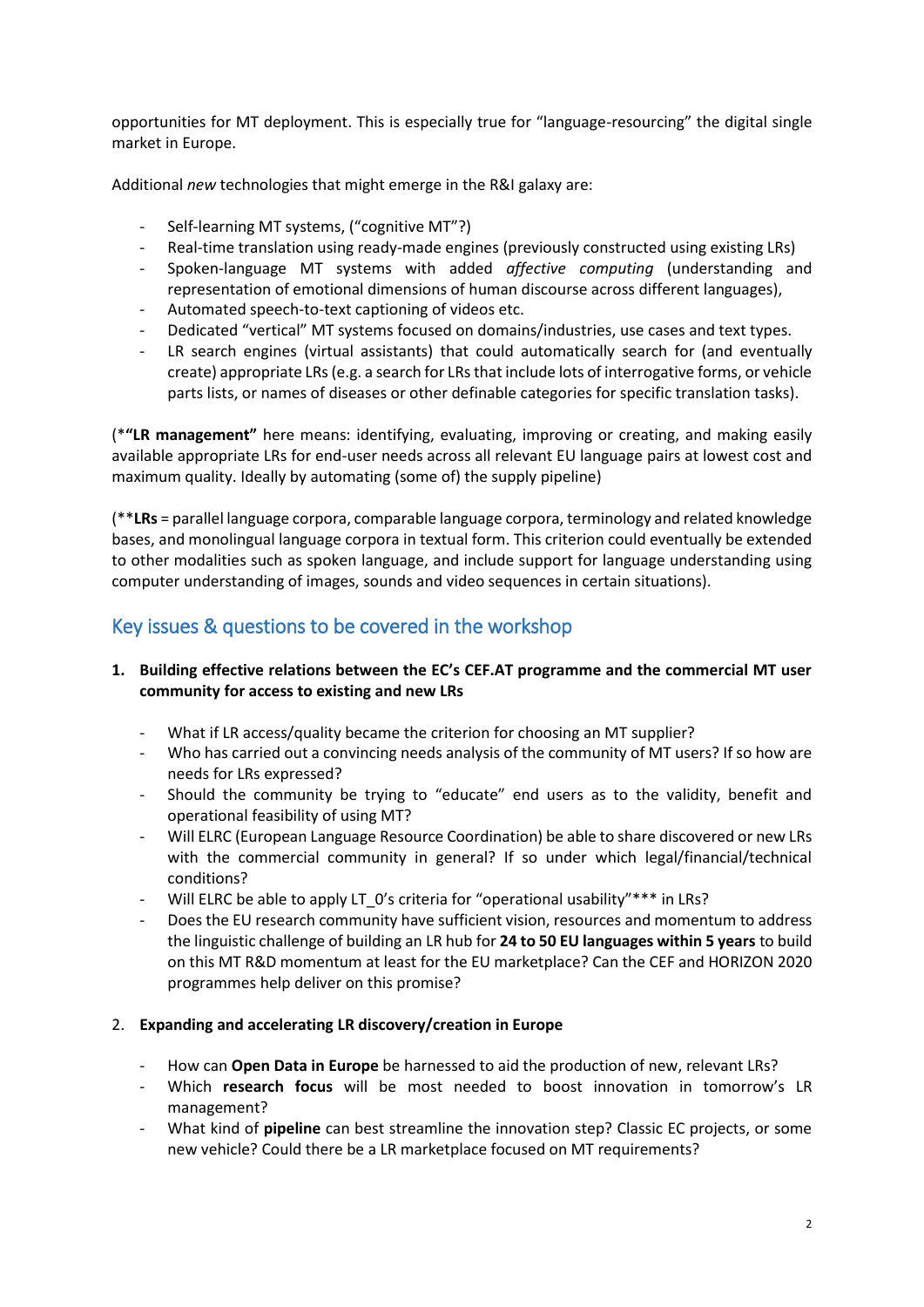opportunities for MT deployment. This is especially true for "language-resourcing" the digital single market in Europe.

Additional *new* technologies that might emerge in the R&I galaxy are:

- Self-learning MT systems, ("cognitive MT"?)
- Real-time translation using ready-made engines (previously constructed using existing LRs)
- Spoken-language MT systems with added *affective computing* (understanding and representation of emotional dimensions of human discourse across different languages),
- Automated speech-to-text captioning of videos etc.
- Dedicated "vertical" MT systems focused on domains/industries, use cases and text types.
- LR search engines (virtual assistants) that could automatically search for (and eventually create) appropriate LRs (e.g. a search for LRs that include lots of interrogative forms, or vehicle parts lists, or names of diseases or other definable categories for specific translation tasks).

(\***"LR management"** here means: identifying, evaluating, improving or creating, and making easily available appropriate LRs for end-user needs across all relevant EU language pairs at lowest cost and maximum quality. Ideally by automating (some of) the supply pipeline)

(\*\***LRs** = parallel language corpora, comparable language corpora, terminology and related knowledge bases, and monolingual language corpora in textual form. This criterion could eventually be extended to other modalities such as spoken language, and include support for language understanding using computer understanding of images, sounds and video sequences in certain situations).

## Key issues & questions to be covered in the workshop

#### **1. Building effective relations between the EC's CEF.AT programme and the commercial MT user community for access to existing and new LRs**

- What if LR access/quality became the criterion for choosing an MT supplier?
- Who has carried out a convincing needs analysis of the community of MT users? If so how are needs for LRs expressed?
- Should the community be trying to "educate" end users as to the validity, benefit and operational feasibility of using MT?
- Will ELRC (European Language Resource Coordination) be able to share discovered or new LRs with the commercial community in general? If so under which legal/financial/technical conditions?
- Will ELRC be able to apply LT\_0's criteria for "operational usability"\*\*\* in LRs?
- Does the EU research community have sufficient vision, resources and momentum to address the linguistic challenge of building an LR hub for **24 to 50 EU languages within 5 years** to build on this MT R&D momentum at least for the EU marketplace? Can the CEF and HORIZON 2020 programmes help deliver on this promise?

#### 2. **Expanding and accelerating LR discovery/creation in Europe**

- How can **Open Data in Europe** be harnessed to aid the production of new, relevant LRs?
- Which **research focus** will be most needed to boost innovation in tomorrow's LR management?
- What kind of **pipeline** can best streamline the innovation step? Classic EC projects, or some new vehicle? Could there be a LR marketplace focused on MT requirements?